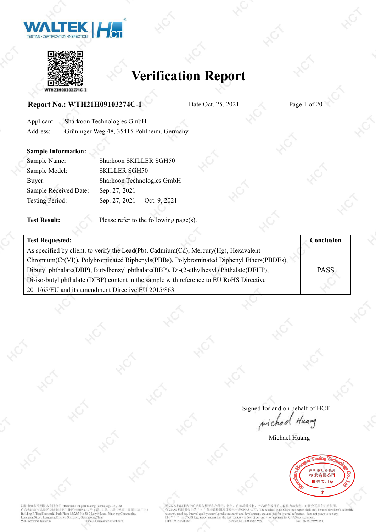



### **Report No.: WTH21H09103274C-1** Date:Oct. 25, 2021 Page 1 of 20

Applicant: Sharkoon Technologies GmbH Address: Grüninger Weg 48, 35415 Pohlheim, Germany

#### **Sample Information:**

| Sharkoon SKILLER SGH50       |  |
|------------------------------|--|
| <b>SKILLER SGH50</b>         |  |
| Sharkoon Technologies GmbH   |  |
| Sep. 27, 2021                |  |
| Sep. 27, 2021 - Oct. 9, 2021 |  |
|                              |  |

**Test Result:** Please refer to the following page(s).

| <b>Test Requested:</b>                                                                   | Conclusion  |  |
|------------------------------------------------------------------------------------------|-------------|--|
| As specified by client, to verify the Lead(Pb), Cadmium(Cd), Mercury(Hg), Hexavalent     |             |  |
| Chromium(Cr(VI)), Polybrominated Biphenyls(PBBs), Polybrominated Diphenyl Ethers(PBDEs), |             |  |
| Dibutyl phthalate(DBP), Butylbenzyl phthalate(BBP), Di-(2-ethylhexyl) Phthalate(DEHP),   | <b>PASS</b> |  |
| Di-iso-butyl phthalate (DIBP) content in the sample with reference to EU RoHS Directive  |             |  |
| 2011/65/EU and its amendment Directive EU 2015/863.                                      |             |  |

Signed for and on behalf of HCT wiched Huang

Michael Huang



深圳市虹彩检测技术有限公司 Shenzhen Hongcai Te -<br>卡省深圳市龙岗区龙岗街道新生社区莱茵路30-9 号 1 层、2 层、<br>Iding B,Tianji Industrial Park,Floor 1&2&3 No.30-9 Laiyin Road, X ...<br>天基工业园 B 栋厂房) et Sh i@hct-test.com

H于客户科研、教学、内部质量控制、产品研发等目的, 仅供内部参考, 对社会不具有证明作用。<br>代表该检测项目暂未申请CNAS 认可。The result(s) in no CMA logo report shall only be used for client's scientific<br>y control,product research and development, tec...and just for internal ref 无 CMA 标识报告中的结果仅用于客 CNAS 标识报告中的 aching. al quality The "  $n$  " in CN<sub>i</sub><br>Tel: 0755-84616666 vice Tel: 400-0066 Saccionation.<br>Fax: 0755-89594380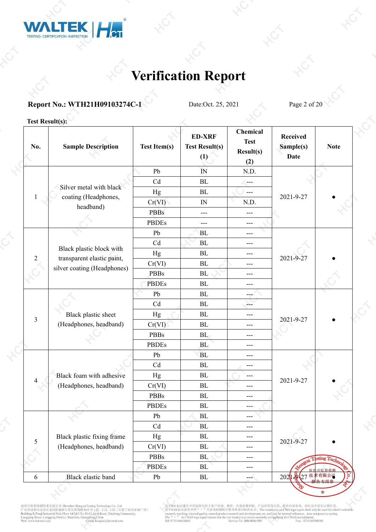

### **Report No.: WTH21H09103274C-1** Date:Oct. 25, 2021 Page 2 of 20

#### **Test Result(s):**

| No.            | <b>Sample Description</b>         | <b>Test Item(s)</b>        | <b>ED-XRF</b><br><b>Test Result(s)</b><br>(1) | <b>Chemical</b><br><b>Test</b><br>Result(s)<br>(2) | <b>Received</b><br>Sample(s)<br><b>Date</b> | <b>Note</b> |
|----------------|-----------------------------------|----------------------------|-----------------------------------------------|----------------------------------------------------|---------------------------------------------|-------------|
|                |                                   | Pb                         | IN                                            | N.D.                                               |                                             |             |
|                |                                   | Cd                         | BL                                            | ---                                                |                                             |             |
|                | Silver metal with black           | Hg                         | BL                                            | $---$                                              | 2021-9-27                                   |             |
| 1              | coating (Headphones,<br>headband) | Cr(VI)                     | ${\rm IN}$                                    | N.D.                                               |                                             |             |
|                |                                   | <b>PBBs</b>                | $---$                                         | $---$                                              |                                             |             |
|                |                                   | <b>PBDEs</b>               | $---$                                         | ---                                                |                                             |             |
|                |                                   | Pb                         | BL                                            | ---                                                |                                             |             |
|                |                                   | Cd                         | BL                                            | ---                                                |                                             |             |
|                | Black plastic block with          | Hg                         | BL                                            | $---$                                              |                                             |             |
| $\overline{2}$ | transparent elastic paint,        | Cr(VI)                     | ${\rm BL}$                                    | ---                                                | 2021-9-27                                   |             |
|                | silver coating (Headphones)       | PBBs                       | $\rm BL$                                      | ---                                                |                                             |             |
|                |                                   | <b>PBDEs</b>               | <b>BL</b>                                     | ---                                                |                                             |             |
|                |                                   | Pb                         | BL                                            | man.                                               |                                             |             |
|                |                                   | Cd                         | BL                                            | ---                                                |                                             |             |
|                | Black plastic sheet               | Hg                         | BL                                            | ---                                                | 2021-9-27                                   |             |
| 3              | (Headphones, headband)            | Cr(VI)                     | BL                                            | $---$                                              |                                             |             |
|                |                                   | <b>PBBs</b>                | BL                                            | $---$                                              |                                             |             |
|                |                                   | <b>PBDEs</b>               | BL                                            | ---                                                |                                             |             |
|                |                                   | Pb                         | <b>BL</b>                                     | $---$                                              |                                             |             |
|                |                                   | Cd                         | BL                                            | $---$                                              |                                             |             |
|                | Black foam with adhesive          | Hg                         | $\rm BL$                                      | ---                                                | 2021-9-27                                   |             |
| 4              | (Headphones, headband)            | Cr(VI)                     | BL                                            | $---$                                              |                                             |             |
|                |                                   | <b>PBBs</b>                | BL                                            | ---                                                |                                             |             |
|                |                                   | <b>PBDEs</b>               | ${\rm BL}$                                    | ---                                                |                                             |             |
|                |                                   | Pb                         | $\rm BL$                                      | ---                                                |                                             |             |
|                |                                   | $\ensuremath{\mathrm{Cd}}$ | $\rm BL$                                      | ---                                                |                                             |             |
|                | Black plastic fixing frame        | Hg                         | $\rm BL$                                      | ---                                                | 2021-9-27                                   |             |
| $\mathfrak{S}$ | (Headphones, headband)            | Cr(VI)                     | $\rm BL$                                      | ---                                                |                                             |             |
|                |                                   | <b>PBBs</b>                | $\rm BL$                                      | ---                                                |                                             | sting 7     |
|                |                                   | <b>PBDEs</b>               | $\rm BL$                                      | ---                                                |                                             | 市虹彩检测       |
| 6              | Black elastic band                | Pb                         | ${\rm BL}$                                    | $\overline{\phantom{a}}$                           | 202                                         |             |

深圳市虹彩检测技术有限公司 Shenzhen Hongcai Testing Technology Co., Ltd<br>广东省深圳市龙岗区龙岗街道新生社区莱茵路30-9 号 1层、2 层、3 层 (天基工业园 B 栋厂房)<br>Building B.Tranji Industrial Park,Floor 1&2&3 No.30-9 Laiyin Road, Xinsheng Community,<br>Longgang Street, Longga

无 CMA 标识报告中的结果仅用于客户科研、教学、内部质量控制、产品研发等目的, 仅供内部参考, 对社会不具有证明作用。<br>有 CNAS 标识报告中的 " " "代表该检测项目智未申请 CNAS 认可。The result(s) in no CMA logo report shall only be used for client's scientific<br>research, (seehing, internal quality cont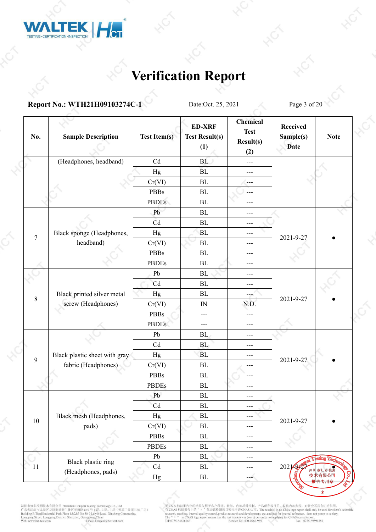

#### **Report No.: WTH21H09103274C-1** Date:Oct. 25, 2021 Page 3 of 20

| No.            | <b>Sample Description</b>     | <b>Test Item(s)</b> | <b>ED-XRF</b><br><b>Test Result(s)</b><br>(1) | <b>Chemical</b><br><b>Test</b><br>Result(s)<br>(2) | <b>Received</b><br>Sample(s)<br><b>Date</b> | <b>Note</b>   |  |
|----------------|-------------------------------|---------------------|-----------------------------------------------|----------------------------------------------------|---------------------------------------------|---------------|--|
|                | (Headphones, headband)        | Cd                  | BL                                            | $---$                                              |                                             |               |  |
|                |                               | Hg                  | BL                                            | ---                                                |                                             |               |  |
|                |                               | Cr(VI)              | $\rm BL$                                      | ---                                                |                                             |               |  |
|                |                               | <b>PBBs</b>         | $\rm BL$                                      | ---                                                |                                             |               |  |
|                |                               | <b>PBDEs</b>        | $\rm BL$                                      | ---                                                |                                             |               |  |
|                |                               | Pb                  | $\rm BL$                                      | ---                                                |                                             |               |  |
|                |                               | Cd                  | BL                                            | $---$                                              |                                             |               |  |
| $\overline{7}$ | Black sponge (Headphones,     | Hg                  | <b>BL</b>                                     | $---$                                              | 2021-9-27                                   |               |  |
|                | headband)                     | Cr(VI)              | BL                                            | ---                                                |                                             |               |  |
|                |                               | <b>PBBs</b>         | $\rm BL$                                      | ---                                                |                                             |               |  |
|                |                               | <b>PBDEs</b>        | BL                                            | $---$                                              |                                             |               |  |
|                |                               | Pb                  | $\rm BL$                                      | ---                                                |                                             |               |  |
|                |                               | Cd                  | BL                                            | $---$                                              |                                             |               |  |
| $\,8\,$        | Black printed silver metal    | Hg                  | $\rm BL$                                      | $\sim$                                             | 2021-9-27                                   |               |  |
|                | screw (Headphones)            | Cr(VI)              | IN                                            | N.D.                                               |                                             |               |  |
|                |                               | PBBs                | $\qquad \qquad -$                             | ---                                                |                                             |               |  |
|                |                               | <b>PBDEs</b>        | $---$                                         | $---$                                              |                                             |               |  |
|                |                               | Pb                  | BL                                            | ---                                                |                                             |               |  |
|                |                               | Cd                  | BL                                            | ---                                                |                                             |               |  |
| 9              | Black plastic sheet with gray | Hg                  | <b>BL</b>                                     | $---$                                              | 2021-9-27                                   |               |  |
|                | fabric (Headphones)           | Cr(VI)              | BL                                            | $---$                                              |                                             |               |  |
|                |                               | <b>PBBs</b>         | BL                                            | ---                                                |                                             |               |  |
|                |                               | <b>PBDEs</b>        | $\rm BL$                                      | ---                                                |                                             |               |  |
|                |                               | Pb                  | $\rm BL$                                      | $---$                                              |                                             |               |  |
|                |                               | Cd                  | $\rm BL$                                      | ---                                                |                                             |               |  |
| $10\,$         | Black mesh (Headphones,       | $_{\rm Hg}$         | $\rm BL$                                      | ---                                                | 2021-9-27                                   |               |  |
|                | pads)                         | Cr(VI)              | $\rm BL$                                      | $---$                                              |                                             |               |  |
|                |                               | <b>PBBs</b>         | $\rm BL$                                      | ---                                                |                                             |               |  |
|                |                               | <b>PBDEs</b>        | $\rm BL$                                      | ---                                                |                                             |               |  |
|                | Black plastic ring            | Pb                  | BL                                            | ---                                                |                                             | sting Tech    |  |
| 11             | (Headphones, pads)            | Cd                  | $\rm BL$                                      | ---                                                | $202\sqrt{202}$                             | 市虹彩           |  |
|                |                               | Hg                  | ${\rm BL}$                                    | ---                                                |                                             | 技术有限公司<br>お田さ |  |
|                |                               |                     |                                               |                                                    |                                             |               |  |

深圳市虹彩检测技术有限公司 Shenzhen Hongcai Testing Technology Co., Ltd<br>广东省深圳市龙岗区龙岗街道新生社区莱茵路30-9 号 1层、2 层、3 层 (天基工业园 B 栋厂房)<br>Building B.Tranji Industrial Park,Floor 1&2&3 No.30-9 Laiyin Road, Xinsheng Community,<br>Longgang Street, Longga

无 CMA 标识报告中的结果仅用于客户科研、教学、内部质量控制、产品研发等目的, 仅供内部参考, 对社会不具有证明作用。<br>有 CNAS 标识报告中的 " " "代表该检测项目智未申请 CNAS 认可。The result(s) in no CMA logo report shall only be used for client's scientific<br>research, (seehing, internal quality cont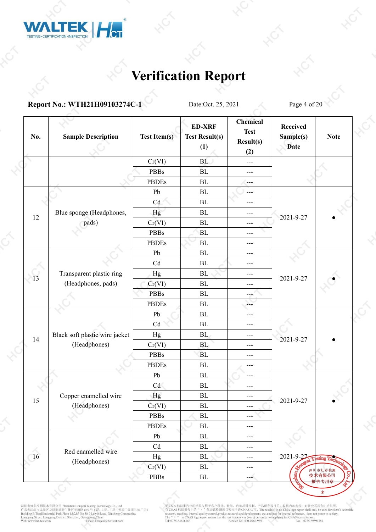

#### **Report No.: WTH21H09103274C-1** Date:Oct. 25, 2021 Page 4 of 20

| No.                      | <b>Sample Description</b>      | <b>Test Item(s)</b>        | <b>ED-XRF</b><br><b>Test Result(s)</b><br>(1) | <b>Chemical</b><br><b>Test</b><br>Result(s)<br>(2) | Received<br>Sample(s)<br><b>Date</b> | <b>Note</b>             |
|--------------------------|--------------------------------|----------------------------|-----------------------------------------------|----------------------------------------------------|--------------------------------------|-------------------------|
|                          |                                | Cr(VI)                     | BL                                            | $---$                                              |                                      |                         |
|                          |                                | <b>PBBs</b>                | BL                                            | $---$                                              |                                      |                         |
|                          |                                | <b>PBDEs</b>               | $\rm BL$                                      | ---                                                |                                      |                         |
|                          |                                | ${\rm Pb}$                 | $\rm BL$                                      | ---                                                |                                      |                         |
|                          |                                | Cd                         | $\rm BL$                                      | ---                                                |                                      |                         |
|                          | Blue sponge (Headphones,       | Hg                         | $\rm BL$                                      | ---                                                |                                      |                         |
| 12                       | pads)                          | Cr(VI)                     | $\rm BL$                                      | $---$                                              | 2021-9-27                            |                         |
|                          |                                | <b>PBBs</b>                | BL                                            | $---$                                              |                                      |                         |
|                          |                                | <b>PBDEs</b>               | $\rm BL$                                      | ---                                                |                                      |                         |
|                          |                                | ${\rm Pb}$                 | $\rm BL$                                      | ---                                                |                                      |                         |
|                          |                                | Cd                         | $\rm BL$                                      | $---$                                              |                                      |                         |
|                          | Transparent plastic ring       | Hg                         | $\rm BL$                                      | $---$                                              |                                      |                         |
| 13<br>(Headphones, pads) |                                | Cr(VI)                     | $\rm BL$                                      | ---                                                | 2021-9-27                            |                         |
|                          |                                | <b>PBBs</b>                | BL                                            | ---                                                |                                      |                         |
|                          |                                | <b>PBDEs</b>               | BL                                            | 22                                                 |                                      |                         |
|                          |                                | ${\rm Pb}$                 | $\rm BL$                                      | ---                                                |                                      |                         |
|                          |                                | Cd                         | BL                                            | $---$                                              |                                      |                         |
|                          | Black soft plastic wire jacket | Hg                         | BL                                            | $---$                                              |                                      |                         |
| 14                       | (Headphones)                   | Cr(VI)                     | BL                                            | ---                                                | 2021-9-27                            |                         |
|                          |                                | <b>PBBs</b>                | ${\bf BL}$                                    | $---$                                              |                                      |                         |
|                          |                                | <b>PBDEs</b>               | $\rm BL$                                      | ---                                                |                                      |                         |
|                          |                                | Pb                         | BL                                            | $---$                                              |                                      |                         |
|                          |                                | Cd                         | BL                                            | $---$                                              |                                      |                         |
|                          | Copper enamelled wire          | Hg                         | ${\rm BL}$                                    | $---$                                              |                                      |                         |
| 15                       | (Headphones)                   | Cr(VI)                     | ${\rm BL}$                                    | ---                                                | 2021-9-27                            |                         |
|                          |                                | <b>PBBs</b>                | $\rm BL$                                      | $---$                                              |                                      |                         |
|                          |                                | <b>PBDEs</b>               | $\rm BL$                                      | ---                                                |                                      |                         |
|                          |                                | ${\rm Pb}$                 | $\rm BL$                                      | $---$                                              |                                      |                         |
|                          |                                | $\ensuremath{\mathrm{Cd}}$ | $\rm BL$                                      | ---                                                |                                      |                         |
| 16                       | Red enamelled wire             | Hg                         | $\mathbf{BL}$                                 | ---                                                | $2021 - 9 - 27 - T$                  | $esting$ $\overline{T}$ |
|                          | (Headphones)                   | Cr(VI)                     | $\rm BL$                                      | $---$                                              |                                      | 深圳市虹彩检测                 |
|                          |                                | <b>PBBs</b>                | ${\rm BL}$                                    | ---                                                |                                      | o<br>技术有限公司<br>右田       |

深圳市虹彩检测技术有限公司 Shenzhen Hongcai Testing Technology Co., Ltd<br>广东省深圳市龙岗区龙岗街道新生社区莱茵路30-9 号 1层、2 层、3 层 (天基工业园 B 栋厂房)<br>Building B.Tranji Industrial Park,Floor 1&2&3 No.30-9 Laiyin Road, Xinsheng Community,<br>Longgang Street, Longga

无 CMA 标识报告中的结果仅用于客户科研、教学、内部质量控制、产品研发等目的, 仅供内部参考, 对社会不具有证明作用。<br>有 CNAS 标识报告中的 " " "代表该检测项目智未申请 CNAS 认可。The result(s) in no CMA logo report shall only be used for client's scientific<br>research, (seehing, internal quality cont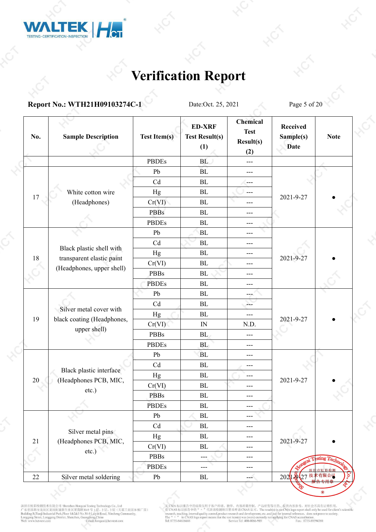

### **Report No.: WTH21H09103274C-1** Date:Oct. 25, 2021 Page 5 of 20

| No.    | <b>Sample Description</b>                              | <b>Test Item(s)</b> | <b>ED-XRF</b><br><b>Test Result(s)</b><br>(1) | <b>Chemical</b><br><b>Test</b><br>Result(s)<br>(2) | <b>Received</b><br>Sample(s)<br><b>Date</b> | <b>Note</b>   |  |
|--------|--------------------------------------------------------|---------------------|-----------------------------------------------|----------------------------------------------------|---------------------------------------------|---------------|--|
|        |                                                        | <b>PBDEs</b>        | BL                                            | $---$                                              |                                             |               |  |
|        |                                                        | Pb                  | BL                                            | ---                                                |                                             |               |  |
|        |                                                        | Cd                  | BL                                            | ---                                                |                                             |               |  |
|        | White cotton wire                                      | Hg                  | BL                                            | $---$                                              |                                             |               |  |
| 17     | (Headphones)                                           | Cr(VI)              | BL                                            | $---$                                              | 2021-9-27                                   |               |  |
|        |                                                        | <b>PBBs</b>         | $\rm BL$                                      | $---$                                              |                                             |               |  |
|        |                                                        | <b>PBDEs</b>        | BL                                            | $---$                                              |                                             |               |  |
|        |                                                        | Pb                  | <b>BL</b>                                     | $---$                                              |                                             |               |  |
|        |                                                        | Cd                  | BL                                            | $---$                                              |                                             |               |  |
| $18\,$ | Black plastic shell with                               | Hg                  | ${\rm BL}$                                    | $---$                                              |                                             |               |  |
|        | transparent elastic paint<br>(Headphones, upper shell) | Cr(VI)              | BL                                            | $---$                                              | 2021-9-27                                   |               |  |
|        |                                                        | <b>PBBs</b>         | BL                                            | ---                                                |                                             |               |  |
|        |                                                        | <b>PBDEs</b>        | BL                                            | ---                                                |                                             |               |  |
|        |                                                        | Pb                  | BL                                            | $-1$                                               |                                             |               |  |
|        | Silver metal cover with                                | Cd                  | <b>BL</b>                                     | $\overline{a}$                                     | 2021-9-27                                   |               |  |
| 19     | black coating (Headphones,                             | Hg                  | ${\rm BL}$                                    | $---$                                              |                                             |               |  |
|        | upper shell)                                           | Cr(VI)              | ${\rm IN}$                                    | N.D.                                               |                                             |               |  |
|        |                                                        | <b>PBBs</b>         | BL                                            | $\overline{a}$                                     |                                             |               |  |
|        |                                                        | <b>PBDEs</b>        | BL                                            | $---$                                              |                                             |               |  |
|        |                                                        | Pb                  | BL                                            | $---$                                              |                                             |               |  |
|        | Black plastic interface                                | Cd                  | ${\rm BL}$                                    | ---                                                |                                             |               |  |
| 20     | (Headphones PCB, MIC,                                  | Hg                  | ${\rm BL}$                                    | $---$                                              | 2021-9-27                                   |               |  |
|        | $etc.$ )                                               | Cr(VI)              | BL                                            | ---                                                |                                             |               |  |
|        |                                                        | <b>PBBs</b>         | BL                                            | $---$                                              |                                             |               |  |
|        |                                                        | <b>PBDEs</b>        | $\rm BL$                                      | $---$                                              |                                             |               |  |
|        |                                                        | ${\rm Pb}$          | $\rm BL$                                      | $---$                                              |                                             |               |  |
|        | Silver metal pins                                      | Cd                  | $\rm BL$                                      | ---                                                |                                             |               |  |
| $21\,$ | (Headphones PCB, MIC,                                  | Hg                  | $\rm BL$                                      | $---$                                              | 2021-9-27                                   |               |  |
|        | $etc.$ )                                               | Cr(VI)              | ${\rm BL}$                                    | ---                                                |                                             |               |  |
|        |                                                        | <b>PBBs</b>         | ---                                           | $---$                                              |                                             | sting Technol |  |
|        |                                                        | <b>PBDEs</b>        | ---                                           | $---$                                              |                                             |               |  |
| 22     | Silver metal soldering                                 | Pb                  | ${\rm BL}$                                    | ---                                                | 2021 22 27 技术                               | 有限公司          |  |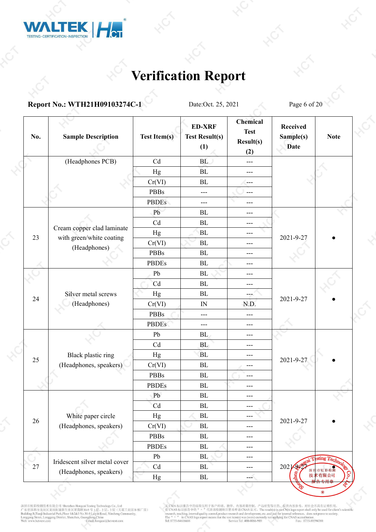

**Report No.: WTH21H09103274C-1** Date:Oct. 25, 2021 Page 6 of 20

| No.    | <b>Sample Description</b>     | <b>Test Item(s)</b> | <b>ED-XRF</b><br><b>Test Result(s)</b><br>(1) | <b>Chemical</b><br><b>Test</b><br>Result(s)<br>(2) | <b>Received</b><br>Sample(s)<br><b>Date</b> | <b>Note</b>    |  |
|--------|-------------------------------|---------------------|-----------------------------------------------|----------------------------------------------------|---------------------------------------------|----------------|--|
|        | (Headphones PCB)              | Cd                  | BL                                            | $---$                                              |                                             |                |  |
|        |                               | Hg                  | BL                                            | ---                                                |                                             |                |  |
|        |                               | Cr(VI)              | BL                                            | ---                                                |                                             |                |  |
|        |                               | <b>PBBs</b>         | $---$                                         | $---$                                              |                                             |                |  |
|        |                               | <b>PBDEs</b>        | $---$                                         | ---                                                |                                             |                |  |
|        |                               | Pb                  | BL                                            | ---                                                |                                             |                |  |
|        |                               | Cd                  | BL                                            | $---$                                              |                                             |                |  |
|        | Cream copper clad laminate    | Hg                  | <b>BL</b>                                     | ---                                                |                                             |                |  |
| 23     | with green/white coating      | Cr(VI)              | BL                                            | ---                                                | 2021-9-27                                   |                |  |
|        | (Headphones)                  | <b>PBBs</b>         | $\rm BL$                                      | ---                                                |                                             |                |  |
|        |                               | <b>PBDEs</b>        | $\rm BL$                                      | $---$                                              |                                             |                |  |
|        |                               | Pb                  | $\rm BL$                                      | $---$                                              |                                             |                |  |
|        |                               | Cd                  | $\rm BL$                                      | $---$                                              |                                             |                |  |
| 24     | Silver metal screws           | Hg                  | BL                                            | ---                                                | 2021-9-27                                   |                |  |
|        | (Headphones)                  | Cr(VI)              | ${\rm IN}$                                    | N.D.                                               |                                             |                |  |
|        |                               | <b>PBBs</b>         | $\qquad \qquad -$                             | $---$                                              |                                             |                |  |
|        |                               | <b>PBDEs</b>        | $---$                                         | ---                                                |                                             |                |  |
|        |                               | Pb                  | BL                                            | ---                                                |                                             |                |  |
|        |                               | Cd                  | BL                                            | ---                                                |                                             |                |  |
| 25     | Black plastic ring            | Hg                  | BL                                            | $---$                                              | 2021-9-27                                   |                |  |
|        | (Headphones, speakers)        | Cr(VI)              | $\rm BL$                                      | $---$                                              |                                             |                |  |
|        |                               | <b>PBBs</b>         | $\rm BL$                                      | $---$                                              |                                             |                |  |
|        |                               | <b>PBDEs</b>        | BL                                            | $---$                                              |                                             |                |  |
|        |                               | Pb                  | $\rm BL$                                      | ---                                                |                                             |                |  |
|        |                               | Cd                  | ${\rm BL}$                                    | ---                                                |                                             |                |  |
| 26     | White paper circle            | Hg                  | $\rm BL$                                      | ---                                                | 2021-9-27                                   |                |  |
|        | (Headphones, speakers)        | Cr(VI)              | $\rm BL$                                      | ---                                                |                                             |                |  |
|        |                               | <b>PBBs</b>         | $\rm BL$                                      | ---                                                |                                             |                |  |
|        |                               | <b>PBDEs</b>        | $\rm BL$                                      | $---$                                              |                                             |                |  |
|        | Iridescent silver metal cover | Pb                  | $\rm BL$                                      | ---                                                |                                             | sting $\bm{T}$ |  |
| $27\,$ | (Headphones, speakers)        | Cd                  | BL                                            | $---$                                              | $2021 - 992$                                |                |  |
|        |                               | $_{\rm Hg}$         | ${\rm BL}$                                    | ---                                                | 技才                                          | 有限公司           |  |

深圳市虹彩检测技术有限公司 Shenzhen Hongcai Testing Technology Co., Ltd<br>广东省深圳市龙岗区龙岗街道新生社区莱茵路30-9 号 1层、2 层、3 层 (天基工业园 B 栋厂房)<br>Building B.Tranji Industrial Park,Floor 1&2&3 No.30-9 Lavyin Road, Xinsheng Community,<br>Longgang Street, Longga

无 CMA 标识报告中的结果仅用于客户科研、教学、内部质量控制、产品研发等目的, 仅供内部参考, 对社会不具有证明作用。<br>有 CNAS 标识报告中的 " " "代表该检测项目智未申请 CNAS 认可。The result(s) in no CMA logo report shall only be used for client's scientific<br>research, (seehing, internal quality cont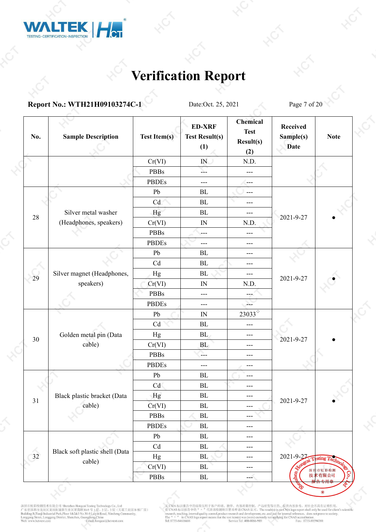

### **Report No.: WTH21H09103274C-1** Date:Oct. 25, 2021 Page 7 of 20

| No.            | <b>Sample Description</b>      | <b>Test Item(s)</b>         | <b>ED-XRF</b><br><b>Test Result(s)</b><br>(1) | <b>Chemical</b><br><b>Test</b><br>Result(s)<br>(2) | Received<br>Sample(s)<br><b>Date</b> | <b>Note</b>   |  |
|----------------|--------------------------------|-----------------------------|-----------------------------------------------|----------------------------------------------------|--------------------------------------|---------------|--|
|                |                                | Cr(VI)                      | $I\!N$                                        | N.D.                                               |                                      |               |  |
|                |                                | <b>PBBs</b>                 | Х.,                                           | $---$                                              |                                      |               |  |
|                |                                | <b>PBDEs</b>                | $---$                                         | $---$                                              |                                      |               |  |
|                |                                | Pb                          | ${\rm BL}$                                    | $---$                                              |                                      |               |  |
|                |                                | Cd                          | ${\rm BL}$                                    | ---                                                |                                      |               |  |
|                | Silver metal washer            | Hg                          | ${\rm BL}$                                    | $---$                                              |                                      |               |  |
| 28             | (Headphones, speakers)         | Cr(VI)                      | ${\rm IN}$                                    | N.D.                                               | 2021-9-27                            |               |  |
|                |                                | <b>PBBs</b>                 | $---$                                         | ---                                                |                                      |               |  |
|                |                                | <b>PBDEs</b>                | ---                                           | $---$                                              |                                      |               |  |
|                |                                | ${\rm Pb}$                  | ${\rm BL}$                                    | $---$                                              |                                      |               |  |
|                |                                | Cd                          | ${\rm BL}$                                    | $---$                                              |                                      |               |  |
|                | Silver magnet (Headphones,     | Hg                          | BL                                            | $---$                                              |                                      |               |  |
| 29             | speakers)                      | Cr(VI)                      | ${\rm IN}$                                    | N.D.                                               | 2021-9-27                            |               |  |
|                |                                | <b>PBBs</b>                 | ---                                           |                                                    |                                      |               |  |
|                |                                | <b>PBDEs</b>                | $---$                                         | $\sim$                                             |                                      |               |  |
|                |                                | ${\rm Pb}$                  | IN                                            | $23033^{\circ}$                                    |                                      |               |  |
|                |                                | Cd                          | $\rm BL$                                      | $---$                                              |                                      |               |  |
| 30             | Golden metal pin (Data         | Hg                          | BL                                            | $---$                                              | 2021-9-27                            |               |  |
|                | cable)                         | Cr(VI)                      | BL                                            | $---$                                              |                                      |               |  |
|                |                                | <b>PBBs</b>                 | 2.                                            | $---$                                              |                                      |               |  |
|                |                                | <b>PBDEs</b>                | $---$                                         | $---$                                              |                                      |               |  |
|                |                                | Pb                          | BL                                            | $---$                                              |                                      |               |  |
|                |                                | Cd                          | ${\rm BL}$                                    | $---$                                              |                                      |               |  |
| $31\,$         | Black plastic bracket (Data    | Hg                          | ${\rm BL}$                                    | $---$                                              | 2021-9-27                            |               |  |
|                | cable)                         | Cr(VI)                      | $\mathbf{BL}$                                 | ---                                                |                                      |               |  |
|                |                                | <b>PBBs</b>                 | $\rm BL$                                      | $---$                                              |                                      |               |  |
|                |                                | <b>PBDEs</b>                | $\rm BL$                                      | $---$                                              |                                      |               |  |
|                |                                | Pb                          | $\rm BL$                                      | $---$                                              |                                      |               |  |
|                | Black soft plastic shell (Data | $\ensuremath{\mathrm{C}} d$ | ${\rm BL}$                                    | $---$                                              |                                      |               |  |
| $\frac{1}{32}$ | cable)                         | Hg                          | ${\bf BL}$                                    | $---$                                              | 2021-9-27                            | sting 7       |  |
|                |                                | Cr(VI)                      | $\rm BL$                                      | $---$                                              |                                      | 深圳市虹彩检测       |  |
|                |                                | PBBs                        | ${\rm BL}$                                    | $-$                                                |                                      | 技术有限公司<br>お田さ |  |

深圳市虹彩检测技术有限公司 Shenzhen Hongcai Testing Technology Co., Ltd<br>广东省深圳市龙岗区龙岗街道新生社区莱茵路30-9 号 1层、2 层、3 层 (天基工业园 B 栋厂房)<br>Building B.Tranji Industrial Park,Floor 1&2&3 No.30-9 Lavyin Road, Xinsheng Community,<br>Longgang Street, Longga

无 CMA 标识报告中的结果仅用于客户科研、教学、内部质量控制、产品研发等目的, 仅供内部参考, 对社会不具有证明作用。<br>有 CNAS 标识报告中的 " " "代表该检测项目智未申请 CNAS 认可。The result(s) in no CMA logo report shall only be used for client's scientific<br>research, (seehing, internal quality cont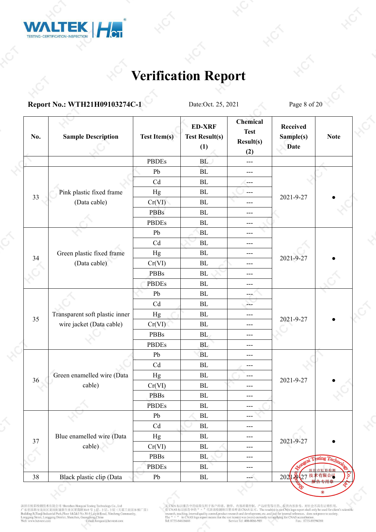

#### **Report No.: WTH21H09103274C-1** Date:Oct. 25, 2021 Page 8 of 20

| No.    | <b>Sample Description</b>      | <b>Test Item(s)</b>        | <b>ED-XRF</b><br><b>Test Result(s)</b><br>(1) | <b>Chemical</b><br><b>Test</b><br>Result(s)<br>(2) | <b>Received</b><br>Sample(s)<br><b>Date</b> | <b>Note</b>   |  |
|--------|--------------------------------|----------------------------|-----------------------------------------------|----------------------------------------------------|---------------------------------------------|---------------|--|
|        |                                | <b>PBDEs</b>               | BL                                            | $---$                                              |                                             |               |  |
|        |                                | Pb                         | BL                                            | ---                                                |                                             |               |  |
|        |                                | Cd                         | $\rm BL$                                      | ---                                                |                                             |               |  |
|        | Pink plastic fixed frame       | Hg                         | $\rm BL$                                      | $---$                                              |                                             |               |  |
| 33     | (Data cable)                   | Cr(VI)                     | $\rm BL$                                      | ---                                                | 2021-9-27                                   |               |  |
|        |                                | <b>PBBs</b>                | BL                                            | $---$                                              |                                             |               |  |
|        |                                | <b>PBDEs</b>               | $\rm BL$                                      | ---                                                |                                             |               |  |
|        |                                | Pb                         | <b>BL</b>                                     | $---$                                              |                                             |               |  |
|        |                                | Cd                         | $\rm BL$                                      | $---$                                              |                                             |               |  |
|        | Green plastic fixed frame      | Hg                         | $\rm BL$                                      | $---$                                              |                                             |               |  |
| 34     | (Data cable)                   | Cr(VI)                     | BL                                            | $---$                                              | 2021-9-27                                   |               |  |
|        |                                | PBBs                       | BL                                            | $---$                                              |                                             |               |  |
|        |                                | <b>PBDEs</b>               | $\rm BL$                                      | ---                                                |                                             |               |  |
|        |                                | Pb                         | BL                                            | ---                                                |                                             |               |  |
|        |                                | Cd                         | BL                                            | Σ.                                                 |                                             |               |  |
| 35     | Transparent soft plastic inner | Hg                         | $\rm BL$                                      | $---$                                              | 2021-9-27                                   |               |  |
|        | wire jacket (Data cable)       | Cr(VI)                     | $\rm BL$                                      | $---$                                              |                                             |               |  |
|        |                                | <b>PBBs</b>                | BL                                            | ---                                                |                                             |               |  |
|        |                                | <b>PBDEs</b>               | BL                                            | $---$                                              |                                             |               |  |
|        |                                | Pb                         | <b>BL</b>                                     | $---$                                              |                                             |               |  |
|        |                                | Cd                         | $\rm BL$                                      | ---                                                |                                             |               |  |
| 36     | Green enamelled wire (Data     | Hg                         | BL                                            | $---$                                              | 2021-9-27                                   |               |  |
|        | cable)                         | Cr(VI)                     | $\rm BL$                                      | ---                                                |                                             |               |  |
|        |                                | <b>PBBs</b>                | BL                                            | $---$                                              |                                             |               |  |
|        |                                | <b>PBDEs</b>               | $\rm BL$                                      | ---                                                |                                             |               |  |
|        |                                | ${\rm Pb}$                 | $\rm BL$                                      | ---                                                |                                             |               |  |
|        |                                | $\ensuremath{\mathrm{Cd}}$ | $\rm BL$                                      | ---                                                |                                             |               |  |
| 37     | Blue enamelled wire (Data      | Hg                         | $\rm BL$                                      | ---                                                | 2021-9-27                                   |               |  |
|        | cable)                         | Cr(VI)                     | ${\rm BL}$                                    | ---                                                |                                             |               |  |
|        |                                | <b>PBBs</b>                | BL                                            | ---                                                |                                             | sting Technol |  |
|        |                                | <b>PBDEs</b>               | $\rm BL$                                      | ---                                                |                                             |               |  |
| $38\,$ | Black plastic clip (Data       | Pb                         | ${\rm BL}$                                    | ---                                                | 2021 22 27 鼓                                | 有限公司          |  |

深圳市虹彩检测技术有限公司 Shenzhen Hongcai Testing Technology Co., Ltd<br>广东省深圳市龙岗区龙岗街道新生社区莱茵路30-9 号 1层、2 层、3 层 (天基工业园 B 栋厂房)<br>Building B.Tranji Industrial Park,Floor 1&2&3 No.30-9 Lavyin Road, Xinsheng Community,<br>Longgang Street, Longga

无 CMA 标识报告中的结果仅用于客户科研、教学、内部质量控制、产品研发等目的, 仅供内部参考, 对社会不具有证明作用。<br>有 CNAS 标识报告中的 " " "代表该检测项目智未申请 CNAS 认可。The result(s) in no CMA logo report shall only be used for client's scientific<br>research, (seehing, internal quality cont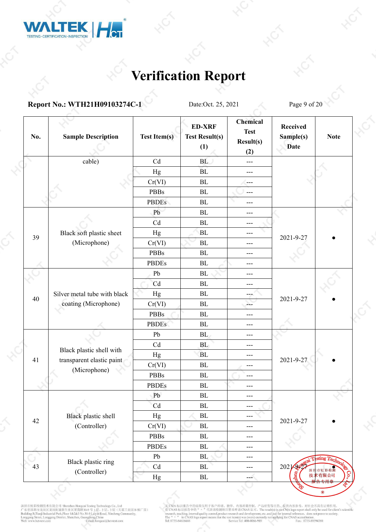

### **Report No.: WTH21H09103274C-1** Date:Oct. 25, 2021 Page 9 of 20

| No. | <b>Sample Description</b>    | <b>Test Item(s)</b>         | <b>ED-XRF</b><br><b>Test Result(s)</b><br>(1) | Chemical<br><b>Test</b><br>Result(s)<br>(2) | <b>Received</b><br>Sample(s)<br><b>Date</b> | <b>Note</b>                              |  |
|-----|------------------------------|-----------------------------|-----------------------------------------------|---------------------------------------------|---------------------------------------------|------------------------------------------|--|
|     | cable)                       | $\ensuremath{\mathrm{C}} d$ | BL                                            | $---$                                       |                                             |                                          |  |
|     |                              | Hg                          | BL                                            | $---$                                       |                                             |                                          |  |
|     |                              | Cr(VI)                      | BL                                            | ---                                         |                                             |                                          |  |
|     |                              | <b>PBBs</b>                 | BL                                            | $---$                                       |                                             |                                          |  |
|     |                              | <b>PBDEs</b>                | ${\rm BL}$                                    | $---$                                       |                                             |                                          |  |
|     |                              | Pb                          | BL                                            | $---$                                       |                                             |                                          |  |
|     |                              | Cd                          | BL                                            | $---$                                       |                                             |                                          |  |
|     | Black soft plastic sheet     | Hg                          | <b>BL</b>                                     | $---$                                       |                                             |                                          |  |
| 39  | (Microphone)                 | Cr(VI)                      | BL                                            | $---$                                       | 2021-9-27                                   |                                          |  |
|     |                              | <b>PBBs</b>                 | ${\rm BL}$                                    | $---$                                       |                                             |                                          |  |
|     |                              | <b>PBDEs</b>                | ${\rm BL}$                                    | $---$                                       |                                             |                                          |  |
|     |                              | Pb                          | BL                                            | $---$                                       |                                             |                                          |  |
|     |                              | Cd                          | BL                                            | $---$                                       |                                             |                                          |  |
| 40  | Silver metal tube with black | Hg                          | BL                                            | $\sim$ – $\sim$                             | 2021-9-27                                   |                                          |  |
|     | coating (Microphone)         | Cr(VI)                      | BL                                            | Δ.                                          |                                             |                                          |  |
|     |                              | <b>PBBs</b>                 | BL                                            | $---$                                       |                                             |                                          |  |
|     |                              | <b>PBDEs</b>                | ${\rm BL}$                                    | $---$                                       |                                             |                                          |  |
|     |                              | Pb                          | BL                                            | $---$                                       |                                             |                                          |  |
|     | Black plastic shell with     | Cd                          | BL                                            | $---$                                       |                                             |                                          |  |
| 41  | transparent elastic paint    | Hg                          | <b>BL</b>                                     | $---$                                       | 2021-9-27                                   |                                          |  |
|     | (Microphone)                 | Cr(VI)                      | ${\rm BL}$                                    | ---                                         |                                             |                                          |  |
|     |                              | <b>PBBs</b>                 | BL                                            | $---$                                       |                                             |                                          |  |
|     |                              | <b>PBDEs</b>                | $\rm BL$                                      | ---                                         |                                             |                                          |  |
|     |                              | Pb                          | BL                                            | $---$                                       |                                             |                                          |  |
|     |                              | Cd                          | $\mathbf{BL}$                                 | ---                                         |                                             |                                          |  |
| 42  | Black plastic shell          | $_{\rm Hg}$                 | $\mathbf{BL}$                                 | ---                                         | 2021-9-27                                   |                                          |  |
|     | (Controller)                 | Cr(VI)                      | $\rm BL$                                      | $---$                                       |                                             |                                          |  |
|     |                              | <b>PBBs</b>                 | $\rm BL$                                      | $\qquad \qquad -$                           |                                             |                                          |  |
|     |                              | <b>PBDEs</b>                | ${\bf BL}$                                    | $---$                                       |                                             |                                          |  |
|     | Black plastic ring           | Pb                          | $\mathbf{BL}$                                 | $\qquad \qquad -$                           |                                             | $\operatorname{string}$ $T_{\mathsf{e}}$ |  |
| 43  | (Controller)                 | Cd                          | $\rm BL$                                      | $---$                                       | 2021200                                     |                                          |  |
|     |                              | Hg                          | ${\rm BL}$                                    | ---                                         |                                             | 技术有限公司                                   |  |
|     |                              |                             |                                               |                                             |                                             |                                          |  |

深圳市虹彩检测技术有限公司 Shenzhen Hongeai Testing Technology Co., Ltd<br>广东省深圳市龙岗区龙岗街道新生社区莱茵路30-9 号 1*层、*2 层、3 层 (天基工业园 B 栋厂房)<br>Building B.Tranji Industrial Park,Floor 1&2&3 No.30-9 Laiyin Road, Xinsheng Community,<br>Longgang Street, Lon

无 CMA 标识报告中的结果仅用于客户科研、教学、内部质量控制、产品研发等目的, 仅供内部参考, 对社会不具有证明作用。<br>有 CNAS 标识报告中的 " " "代表该检测项目智未申请 CNAS 认可。The result(s) in no CMA logo report shall only be used for client's scientific<br>research, (seehing, internal quality cont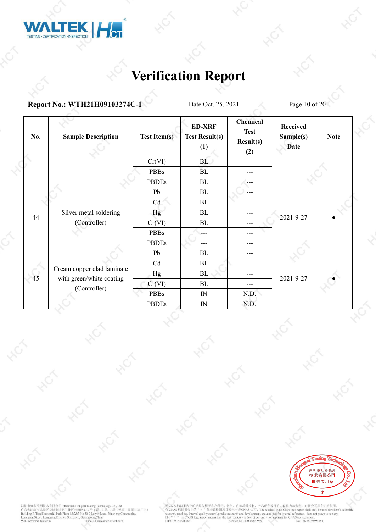

#### **Report No.: WTH21H09103274C-1** Date:Oct. 25, 2021 Page 10 of 20

| No. | <b>Sample Description</b>                | <b>Test Item(s)</b> | <b>ED-XRF</b><br><b>Test Result(s)</b><br>(1) | Chemical<br><b>Test</b><br>Result(s)<br>(2) | <b>Received</b><br>Sample(s)<br><b>Date</b> | <b>Note</b> |  |
|-----|------------------------------------------|---------------------|-----------------------------------------------|---------------------------------------------|---------------------------------------------|-------------|--|
|     |                                          | Cr(VI)              | <b>BL</b>                                     | $---$                                       |                                             |             |  |
|     |                                          | <b>PBBs</b>         | BL                                            | $---$                                       |                                             |             |  |
|     |                                          | <b>PBDEs</b>        | BL                                            | $---$                                       |                                             |             |  |
|     |                                          | Pb                  | BL                                            | $---$                                       |                                             |             |  |
|     |                                          | Cd                  | BL                                            | $---$                                       |                                             |             |  |
| 44  | Silver metal soldering                   | Hg                  | BL                                            | $---$                                       | 2021-9-27                                   |             |  |
|     | (Controller)                             | Cr(VI)              | BL                                            | $---$                                       |                                             |             |  |
|     |                                          | <b>PBBs</b>         | $---$                                         | $---$                                       |                                             |             |  |
|     |                                          | <b>PBDEs</b>        | ---                                           | ---                                         |                                             |             |  |
|     |                                          | Pb                  | BL                                            | $---$                                       |                                             |             |  |
|     |                                          | Cd                  | BL                                            | $---$                                       |                                             |             |  |
| 45  | Cream copper clad laminate               | Hg                  | BL                                            | $---$                                       | 2021-9-27                                   |             |  |
|     | with green/white coating<br>(Controller) | Cr(VI)              | BL                                            | $---$                                       |                                             |             |  |
|     |                                          | <b>PBBs</b>         | IN                                            | N.D.                                        |                                             |             |  |
|     |                                          | <b>PBDEs</b>        | $\ensuremath{\text{IN}}$                      | N.D.                                        |                                             |             |  |



深圳市虹彩检测技术有限公司 Shenzhen Hongeai Testing Technology Co., Ltd<br>广东省深圳市龙岗区龙岗街道新生社区莱茵路30-9号 1层、2层、3层(天基工业园 B 栋厂房)<br>Building B.Tranji Industrial Park,Floor 1&2&3 No.30-9号 1层、2层、3层(天基工业园 B 栋厂房)<br>Bunggang Street, Longgang District, S

无 CMA 标识报告中的结果仅用于客户科研、教学、内部质量控制、产品研发等目的, 仅供内部参考, 对社会不具有证明作用。<br>有 CNAS 标识报告中的 " " "代表该检测项目智未申请 CNAS 认可。The result(s) in no CMA logo report shall only be used for client's scientific<br>research, (seehing, internal quality cont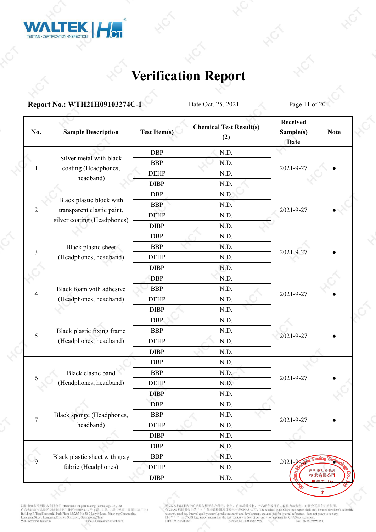

#### **Report No.: WTH21H09103274C-1** Date:Oct. 25, 2021 Page 11 of 20

| No.            | <b>Sample Description</b>                                 | <b>Test Item(s)</b> | <b>Chemical Test Result(s)</b><br>(2) | <b>Received</b><br>Sample(s)<br><b>Date</b> | <b>Note</b>   |  |  |
|----------------|-----------------------------------------------------------|---------------------|---------------------------------------|---------------------------------------------|---------------|--|--|
|                |                                                           | <b>DBP</b>          | N.D.                                  |                                             |               |  |  |
|                | Silver metal with black                                   | <b>BBP</b>          | N.D.                                  |                                             |               |  |  |
| 1              | coating (Headphones,                                      | <b>DEHP</b>         | N.D.                                  | 2021-9-27                                   |               |  |  |
|                | headband)                                                 | <b>DIBP</b>         | N.D.                                  |                                             |               |  |  |
|                |                                                           | <b>DBP</b>          | N.D.                                  |                                             |               |  |  |
|                | Black plastic block with                                  | <b>BBP</b>          | N.D.                                  |                                             |               |  |  |
| $\overline{2}$ | transparent elastic paint,<br>silver coating (Headphones) | <b>DEHP</b>         | N.D.                                  | 2021-9-27                                   |               |  |  |
|                |                                                           | <b>DIBP</b>         | N.D.                                  |                                             |               |  |  |
|                | <b>DBP</b>                                                | N.D.                |                                       |                                             |               |  |  |
| 3              | Black plastic sheet                                       | <b>BBP</b>          | N.D.                                  |                                             |               |  |  |
|                | (Headphones, headband)                                    | <b>DEHP</b>         | N.D.                                  | 2021-9-27                                   |               |  |  |
|                |                                                           | <b>DIBP</b>         | N.D.                                  |                                             |               |  |  |
|                | Black foam with adhesive                                  | <b>DBP</b>          | N.D.                                  |                                             |               |  |  |
| $\overline{4}$ |                                                           | <b>BBP</b>          | N.D.                                  |                                             |               |  |  |
|                | (Headphones, headband)                                    | <b>DEHP</b>         | N.D.                                  | 2021-9-27                                   |               |  |  |
|                |                                                           | <b>DIBP</b>         | N.D.                                  |                                             |               |  |  |
|                |                                                           | <b>DBP</b>          | N.D.                                  |                                             |               |  |  |
| 5              | Black plastic fixing frame                                | <b>BBP</b>          | N.D.                                  |                                             |               |  |  |
|                | (Headphones, headband)                                    | <b>DEHP</b>         | N.D.                                  | 2021-9-27                                   |               |  |  |
|                |                                                           | <b>DIBP</b>         | N.D.                                  |                                             |               |  |  |
|                |                                                           | <b>DBP</b>          | N.D.                                  |                                             |               |  |  |
|                | Black elastic band                                        | <b>BBP</b>          | N.D.                                  | 2021-9-27                                   |               |  |  |
| 6              | (Headphones, headband)                                    | <b>DEHP</b>         | N.D.                                  |                                             |               |  |  |
|                |                                                           | <b>DIBP</b>         | N.D.                                  |                                             |               |  |  |
|                |                                                           | <b>DBP</b>          | N.D.                                  |                                             |               |  |  |
| $\tau$         | Black sponge (Headphones,                                 | <b>BBP</b>          | N.D.                                  | 2021-9-27                                   |               |  |  |
|                | headband)                                                 | <b>DEHP</b>         | N.D.                                  |                                             |               |  |  |
|                |                                                           | <b>DIBP</b>         | N.D.                                  |                                             |               |  |  |
|                |                                                           | <b>DBP</b>          | N.D.                                  |                                             |               |  |  |
| $\overline{9}$ | Black plastic sheet with gray                             | <b>BBP</b>          | N.D.                                  | $2021 - 9 - 2572$                           | sting T       |  |  |
|                | fabric (Headphones)                                       | <b>DEHP</b>         | N.D.                                  |                                             | 深圳市虹彩检测       |  |  |
|                |                                                           | DIBP                | $\mathrm{N.D.}$                       |                                             | 技术有限公司<br>法用于 |  |  |

深圳市虹彩检测技术有限公司 Shenzhen Hongeai Testing Technology Co., Ltd<br>广东省深圳市龙岗区龙岗街道新生社区莱茵路30-9 号 1层、2层、3 层 (天基工业园 B 栋厂房)<br>Building B.Tranji Industrial Park,Floor 1&2&3 No.30-9 Laiyan Road, Xinsheng Community,<br>Longgang Stret, Longgang

无 CMA 标识报告中的结果仅用于客户科研、教学、内部质量控制、产品研发等目的, 仅供内部参考, 对社会不具有证明作用。<br>有 CNAS 标识报告中的 " " "代表该检测项目智未申请 CNAS 认可。The result(s) in no CMA logo report shall only be used for client's scientific<br>research, (seehing, internal quality cont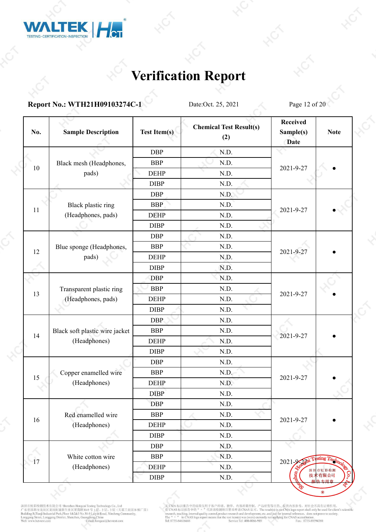

**Report No.: WTH21H09103274C-1** Date:Oct. 25, 2021 Page 12 of 20

| No. | <b>Sample Description</b>      | <b>Test Item(s)</b> | <b>Chemical Test Result(s)</b><br>(2) | <b>Received</b><br>Sample(s)<br><b>Date</b> | <b>Note</b>                 |  |
|-----|--------------------------------|---------------------|---------------------------------------|---------------------------------------------|-----------------------------|--|
|     |                                | <b>DBP</b>          | N.D.                                  |                                             |                             |  |
|     | Black mesh (Headphones,        | <b>BBP</b>          | N.D.                                  |                                             |                             |  |
| 10  | pads)                          | <b>DEHP</b>         | N.D.                                  | 2021-9-27                                   |                             |  |
|     |                                | <b>DIBP</b>         | N.D.                                  |                                             |                             |  |
|     |                                | <b>DBP</b>          | N.D.                                  |                                             |                             |  |
|     | Black plastic ring             | <b>BBP</b>          | N.D.                                  |                                             |                             |  |
| 11  | (Headphones, pads)             | <b>DEHP</b>         | N.D.                                  | 2021-9-27                                   |                             |  |
|     |                                | <b>DIBP</b>         | N.D.                                  |                                             |                             |  |
|     |                                | <b>DBP</b>          | N.D.                                  |                                             |                             |  |
|     | Blue sponge (Headphones,       | <b>BBP</b>          | N.D.                                  |                                             |                             |  |
| 12  | pads)                          | <b>DEHP</b>         | N.D.                                  | 2021-9-27                                   |                             |  |
|     |                                | <b>DIBP</b>         | N.D.                                  |                                             |                             |  |
|     |                                | <b>DBP</b>          | N.D.                                  |                                             |                             |  |
|     | Transparent plastic ring       | <b>BBP</b>          | N.D.                                  |                                             |                             |  |
| 13  | (Headphones, pads)             | <b>DEHP</b>         | N.D.                                  | 2021-9-27                                   |                             |  |
|     |                                | <b>DIBP</b>         | N.D.                                  |                                             |                             |  |
|     |                                | <b>DBP</b>          | N.D.                                  |                                             |                             |  |
|     | Black soft plastic wire jacket | <b>BBP</b>          | N.D.                                  |                                             |                             |  |
| 14  | (Headphones)                   | <b>DEHP</b>         | N.D.                                  | 2021-9-27                                   |                             |  |
|     |                                | <b>DIBP</b>         | N.D.                                  |                                             |                             |  |
|     |                                | <b>DBP</b>          | N.D.                                  |                                             |                             |  |
|     | Copper enamelled wire          | <b>BBP</b>          | N.D.                                  |                                             |                             |  |
| 15  | (Headphones)                   | <b>DEHP</b>         | N.D.                                  | 2021-9-27                                   |                             |  |
|     |                                | <b>DIBP</b>         | N.D.                                  |                                             |                             |  |
|     |                                | <b>DBP</b>          | N.D.                                  |                                             |                             |  |
|     | Red enamelled wire             | <b>BBP</b>          | N.D.                                  |                                             |                             |  |
| 16  | (Headphones)                   | <b>DEHP</b>         | N.D.                                  | 2021-9-27                                   |                             |  |
|     |                                | <b>DIBP</b>         | N.D.                                  |                                             |                             |  |
|     |                                | <b>DBP</b>          | N.D.                                  |                                             |                             |  |
| 17  | White cotton wire              | <b>BBP</b>          | N.D.                                  | $2021 - 9 - 251$                            |                             |  |
|     | (Headphones)                   | <b>DEHP</b>         | N.D.                                  |                                             | sting Technology<br>深圳市虹彩检测 |  |
|     |                                | DIBP                | N.D.                                  |                                             | 技术有限公司<br>キモ田き              |  |

深圳市虹彩检测技术有限公司 Shenzhen Hongeai Testing Technology Co., Ltd<br>广东省深圳市龙岗区龙岗街道新生社区莱茵路30-9 号 1层、2层、3 层 (天基工业园 B 栋厂房)<br>Building B.Tranji Industrial Park,Floor 1&2&3 No.30-9 Laiyan Road, Xinsheng Community,<br>Longgang Stret, Longgang

无 CMA 标识报告中的结果仅用于客户科研、教学、内部质量控制、产品研发等目的, 仅供内部参考, 对社会不具有证明作用。<br>有 CNAS 标识报告中的 " " "代表该检测项目智未申请 CNAS 认可。The result(s) in no CMA logo report shall only be used for client's scientific<br>research, (seehing, internal quality cont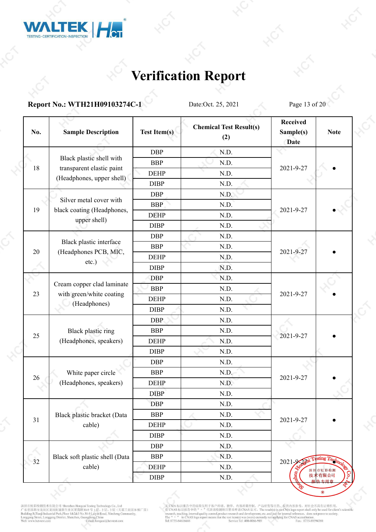

#### **Report No.: WTH21H09103274C-1** Date:Oct. 25, 2021 Page 13 of 20

| No. | <b>Sample Description</b>      | <b>Test Item(s)</b> | <b>Chemical Test Result(s)</b><br>(2) | <b>Received</b><br>Sample(s)<br><b>Date</b> | <b>Note</b>          |
|-----|--------------------------------|---------------------|---------------------------------------|---------------------------------------------|----------------------|
|     |                                | <b>DBP</b>          | N.D.                                  |                                             |                      |
|     | Black plastic shell with       | <b>BBP</b>          | N.D.                                  |                                             |                      |
| 18  | transparent elastic paint      | <b>DEHP</b>         | N.D.                                  | 2021-9-27                                   |                      |
|     | (Headphones, upper shell)      | <b>DIBP</b>         | N.D.                                  |                                             |                      |
|     |                                | <b>DBP</b>          | N.D.                                  |                                             |                      |
|     | Silver metal cover with        | <b>BBP</b>          | N.D.                                  |                                             |                      |
| 19  | black coating (Headphones,     | <b>DEHP</b>         | N.D.                                  | 2021-9-27                                   |                      |
|     | upper shell)                   | <b>DIBP</b>         | N.D.                                  |                                             |                      |
|     |                                | <b>DBP</b>          | N.D.                                  |                                             |                      |
|     | Black plastic interface        | <b>BBP</b>          | N.D.                                  |                                             |                      |
| 20  | (Headphones PCB, MIC,          | <b>DEHP</b>         | N.D.                                  | 2021-9-27                                   |                      |
|     | $etc.$ )                       | <b>DIBP</b>         | N.D.                                  |                                             |                      |
|     |                                | <b>DBP</b>          | N.D.                                  |                                             |                      |
|     | Cream copper clad laminate     | <b>BBP</b>          | N.D.                                  |                                             |                      |
| 23  | with green/white coating       | <b>DEHP</b>         | N.D.                                  | 2021-9-27                                   |                      |
|     | (Headphones)                   | <b>DIBP</b>         | N.D.                                  |                                             |                      |
|     |                                | <b>DBP</b>          | N.D.                                  |                                             |                      |
|     | Black plastic ring             | <b>BBP</b>          | N.D.                                  |                                             |                      |
| 25  | (Headphones, speakers)         | <b>DEHP</b>         | N.D.                                  | 2021-9-27                                   |                      |
|     |                                | <b>DIBP</b>         | N.D.                                  |                                             |                      |
|     |                                | <b>DBP</b>          | N.D.                                  |                                             |                      |
| 26  | White paper circle             | <b>BBP</b>          | N.D.                                  | 2021-9-27                                   |                      |
|     | (Headphones, speakers)         | <b>DEHP</b>         | N.D.                                  |                                             |                      |
|     |                                | <b>DIBP</b>         | N.D.                                  |                                             |                      |
|     |                                | <b>DBP</b>          | N.D.                                  |                                             |                      |
| 31  | Black plastic bracket (Data    | <b>BBP</b>          | N.D.                                  | 2021-9-27                                   |                      |
|     | cable)                         | <b>DEHP</b>         | N.D.                                  |                                             |                      |
|     |                                | <b>DIBP</b>         | N.D.                                  |                                             |                      |
|     |                                | <b>DBP</b>          | N.D.                                  |                                             |                      |
| 32  | Black soft plastic shell (Data | <b>BBP</b>          | N.D.                                  | $2021 - 9 - 200$                            | sting Technology     |
|     | cable)                         | <b>DEHP</b>         | N.D.                                  | 深圳                                          | 市虹彩检测                |
|     |                                | $\rm DIBP$          | N.D.                                  | ĝ                                           | ငွ<br>技术有限公司<br>ちも田さ |

深圳市虹彩检测技术有限公司 Shenzhen Hongeai Testing Technology Co., Ltd<br>广东省深圳市龙岗区龙岗街道新生社区莱茵路30-9 号 1层、2层、3 层 (天基工业园 B 栋厂房)<br>Building B.Tranji Industrial Park,Floor 1&2&3 No.30-9 Laiyan Road, Xinsheng Community,<br>Longgang Stret, Longgang

无 CMA 标识报告中的结果仅用于客户科研、教学、内部质量控制、产品研发等目的, 仅供内部参考, 对社会不具有证明作用。<br>有 CNAS 标识报告中的 " " "代表该检测项目智未申请 CNAS 认可。The result(s) in no CMA logo report shall only be used for client's scientific<br>research, (seehing, internal quality cont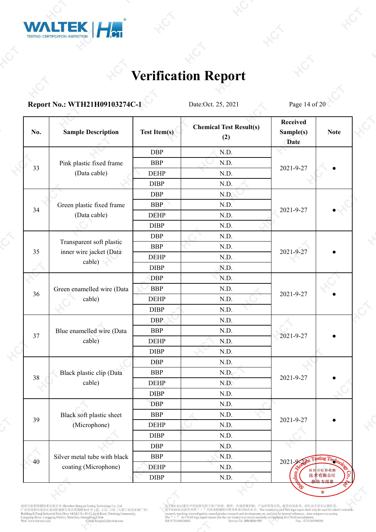

**Report No.: WTH21H09103274C-1** Date:Oct. 25, 2021 Page 14 of 20

| <b>DBP</b><br>N.D.<br>Pink plastic fixed frame<br><b>BBP</b><br>N.D.<br>33<br>2021-9-27<br>(Data cable)<br><b>DEHP</b><br>N.D.<br><b>DIBP</b><br>N.D.<br><b>DBP</b><br>N.D.<br><b>BBP</b><br>N.D.<br>Green plastic fixed frame<br>34<br>2021-9-27<br>(Data cable)<br><b>DEHP</b><br>N.D.<br><b>DIBP</b><br>N.D.<br>N.D.<br><b>DBP</b><br>Transparent soft plastic<br><b>BBP</b><br>N.D.<br>35<br>inner wire jacket (Data<br>2021-9-27<br><b>DEHP</b><br>N.D.<br>cable)<br><b>DIBP</b><br>N.D.<br><b>DBP</b><br>N.D.<br><b>BBP</b><br>N.D.<br>Green enamelled wire (Data<br>36<br>2021-9-27<br>cable)<br><b>DEHP</b><br>N.D.<br><b>DIBP</b><br>N.D.<br><b>DBP</b><br>N.D.<br>Blue enamelled wire (Data<br><b>BBP</b><br>N.D.<br>37<br>2021-9-27<br>cable)<br><b>DEHP</b><br>N.D.<br><b>DIBP</b><br>N.D.<br><b>DBP</b><br>N.D.<br>Black plastic clip (Data<br><b>BBP</b><br>N.D.<br>38<br>2021-9-27<br>cable)<br><b>DEHP</b><br>N.D.<br><b>DIBP</b><br>N.D.<br><b>DBP</b><br>N.D.<br>Black soft plastic sheet<br><b>BBP</b><br>N.D.<br>39<br>2021-9-27<br>(Microphone)<br><b>DEHP</b><br>N.D.<br><b>DIBP</b><br>N.D.<br><b>DBP</b><br>N.D.<br>Silver metal tube with black<br><b>BBP</b><br>N.D.<br>sting Technology<br>$2021 - 9 - 200$<br>40<br>coating (Microphone)<br><b>DEHP</b><br>N.D.<br>市虹彩检测<br>深圳<br>ĝ<br>技术有限公司<br>$\ensuremath{\mathrm{DIBP}}$<br>N.D.<br>与去田首 | No. | <b>Sample Description</b> | <b>Test Item(s)</b> | <b>Chemical Test Result(s)</b><br>(2) | <b>Received</b><br>Sample(s)<br><b>Date</b> | <b>Note</b> |
|---------------------------------------------------------------------------------------------------------------------------------------------------------------------------------------------------------------------------------------------------------------------------------------------------------------------------------------------------------------------------------------------------------------------------------------------------------------------------------------------------------------------------------------------------------------------------------------------------------------------------------------------------------------------------------------------------------------------------------------------------------------------------------------------------------------------------------------------------------------------------------------------------------------------------------------------------------------------------------------------------------------------------------------------------------------------------------------------------------------------------------------------------------------------------------------------------------------------------------------------------------------------------------------------------------------------------------------------------------------------------|-----|---------------------------|---------------------|---------------------------------------|---------------------------------------------|-------------|
|                                                                                                                                                                                                                                                                                                                                                                                                                                                                                                                                                                                                                                                                                                                                                                                                                                                                                                                                                                                                                                                                                                                                                                                                                                                                                                                                                                           |     |                           |                     |                                       |                                             |             |
|                                                                                                                                                                                                                                                                                                                                                                                                                                                                                                                                                                                                                                                                                                                                                                                                                                                                                                                                                                                                                                                                                                                                                                                                                                                                                                                                                                           |     |                           |                     |                                       |                                             |             |
|                                                                                                                                                                                                                                                                                                                                                                                                                                                                                                                                                                                                                                                                                                                                                                                                                                                                                                                                                                                                                                                                                                                                                                                                                                                                                                                                                                           |     |                           |                     |                                       |                                             |             |
|                                                                                                                                                                                                                                                                                                                                                                                                                                                                                                                                                                                                                                                                                                                                                                                                                                                                                                                                                                                                                                                                                                                                                                                                                                                                                                                                                                           |     |                           |                     |                                       |                                             |             |
|                                                                                                                                                                                                                                                                                                                                                                                                                                                                                                                                                                                                                                                                                                                                                                                                                                                                                                                                                                                                                                                                                                                                                                                                                                                                                                                                                                           |     |                           |                     |                                       |                                             |             |
|                                                                                                                                                                                                                                                                                                                                                                                                                                                                                                                                                                                                                                                                                                                                                                                                                                                                                                                                                                                                                                                                                                                                                                                                                                                                                                                                                                           |     |                           |                     |                                       |                                             |             |
|                                                                                                                                                                                                                                                                                                                                                                                                                                                                                                                                                                                                                                                                                                                                                                                                                                                                                                                                                                                                                                                                                                                                                                                                                                                                                                                                                                           |     |                           |                     |                                       |                                             |             |
|                                                                                                                                                                                                                                                                                                                                                                                                                                                                                                                                                                                                                                                                                                                                                                                                                                                                                                                                                                                                                                                                                                                                                                                                                                                                                                                                                                           |     |                           |                     |                                       |                                             |             |
|                                                                                                                                                                                                                                                                                                                                                                                                                                                                                                                                                                                                                                                                                                                                                                                                                                                                                                                                                                                                                                                                                                                                                                                                                                                                                                                                                                           |     |                           |                     |                                       |                                             |             |
|                                                                                                                                                                                                                                                                                                                                                                                                                                                                                                                                                                                                                                                                                                                                                                                                                                                                                                                                                                                                                                                                                                                                                                                                                                                                                                                                                                           |     |                           |                     |                                       |                                             |             |
|                                                                                                                                                                                                                                                                                                                                                                                                                                                                                                                                                                                                                                                                                                                                                                                                                                                                                                                                                                                                                                                                                                                                                                                                                                                                                                                                                                           |     |                           |                     |                                       |                                             |             |
|                                                                                                                                                                                                                                                                                                                                                                                                                                                                                                                                                                                                                                                                                                                                                                                                                                                                                                                                                                                                                                                                                                                                                                                                                                                                                                                                                                           |     |                           |                     |                                       |                                             |             |
|                                                                                                                                                                                                                                                                                                                                                                                                                                                                                                                                                                                                                                                                                                                                                                                                                                                                                                                                                                                                                                                                                                                                                                                                                                                                                                                                                                           |     |                           |                     |                                       |                                             |             |
|                                                                                                                                                                                                                                                                                                                                                                                                                                                                                                                                                                                                                                                                                                                                                                                                                                                                                                                                                                                                                                                                                                                                                                                                                                                                                                                                                                           |     |                           |                     |                                       |                                             |             |
|                                                                                                                                                                                                                                                                                                                                                                                                                                                                                                                                                                                                                                                                                                                                                                                                                                                                                                                                                                                                                                                                                                                                                                                                                                                                                                                                                                           |     |                           |                     |                                       |                                             |             |
|                                                                                                                                                                                                                                                                                                                                                                                                                                                                                                                                                                                                                                                                                                                                                                                                                                                                                                                                                                                                                                                                                                                                                                                                                                                                                                                                                                           |     |                           |                     |                                       |                                             |             |
|                                                                                                                                                                                                                                                                                                                                                                                                                                                                                                                                                                                                                                                                                                                                                                                                                                                                                                                                                                                                                                                                                                                                                                                                                                                                                                                                                                           |     |                           |                     |                                       |                                             |             |
|                                                                                                                                                                                                                                                                                                                                                                                                                                                                                                                                                                                                                                                                                                                                                                                                                                                                                                                                                                                                                                                                                                                                                                                                                                                                                                                                                                           |     |                           |                     |                                       |                                             |             |
|                                                                                                                                                                                                                                                                                                                                                                                                                                                                                                                                                                                                                                                                                                                                                                                                                                                                                                                                                                                                                                                                                                                                                                                                                                                                                                                                                                           |     |                           |                     |                                       |                                             |             |
|                                                                                                                                                                                                                                                                                                                                                                                                                                                                                                                                                                                                                                                                                                                                                                                                                                                                                                                                                                                                                                                                                                                                                                                                                                                                                                                                                                           |     |                           |                     |                                       |                                             |             |
|                                                                                                                                                                                                                                                                                                                                                                                                                                                                                                                                                                                                                                                                                                                                                                                                                                                                                                                                                                                                                                                                                                                                                                                                                                                                                                                                                                           |     |                           |                     |                                       |                                             |             |
|                                                                                                                                                                                                                                                                                                                                                                                                                                                                                                                                                                                                                                                                                                                                                                                                                                                                                                                                                                                                                                                                                                                                                                                                                                                                                                                                                                           |     |                           |                     |                                       |                                             |             |
|                                                                                                                                                                                                                                                                                                                                                                                                                                                                                                                                                                                                                                                                                                                                                                                                                                                                                                                                                                                                                                                                                                                                                                                                                                                                                                                                                                           |     |                           |                     |                                       |                                             |             |
|                                                                                                                                                                                                                                                                                                                                                                                                                                                                                                                                                                                                                                                                                                                                                                                                                                                                                                                                                                                                                                                                                                                                                                                                                                                                                                                                                                           |     |                           |                     |                                       |                                             |             |
|                                                                                                                                                                                                                                                                                                                                                                                                                                                                                                                                                                                                                                                                                                                                                                                                                                                                                                                                                                                                                                                                                                                                                                                                                                                                                                                                                                           |     |                           |                     |                                       |                                             |             |
|                                                                                                                                                                                                                                                                                                                                                                                                                                                                                                                                                                                                                                                                                                                                                                                                                                                                                                                                                                                                                                                                                                                                                                                                                                                                                                                                                                           |     |                           |                     |                                       |                                             |             |
|                                                                                                                                                                                                                                                                                                                                                                                                                                                                                                                                                                                                                                                                                                                                                                                                                                                                                                                                                                                                                                                                                                                                                                                                                                                                                                                                                                           |     |                           |                     |                                       |                                             |             |
|                                                                                                                                                                                                                                                                                                                                                                                                                                                                                                                                                                                                                                                                                                                                                                                                                                                                                                                                                                                                                                                                                                                                                                                                                                                                                                                                                                           |     |                           |                     |                                       |                                             |             |
|                                                                                                                                                                                                                                                                                                                                                                                                                                                                                                                                                                                                                                                                                                                                                                                                                                                                                                                                                                                                                                                                                                                                                                                                                                                                                                                                                                           |     |                           |                     |                                       |                                             |             |
|                                                                                                                                                                                                                                                                                                                                                                                                                                                                                                                                                                                                                                                                                                                                                                                                                                                                                                                                                                                                                                                                                                                                                                                                                                                                                                                                                                           |     |                           |                     |                                       |                                             |             |
|                                                                                                                                                                                                                                                                                                                                                                                                                                                                                                                                                                                                                                                                                                                                                                                                                                                                                                                                                                                                                                                                                                                                                                                                                                                                                                                                                                           |     |                           |                     |                                       |                                             |             |
|                                                                                                                                                                                                                                                                                                                                                                                                                                                                                                                                                                                                                                                                                                                                                                                                                                                                                                                                                                                                                                                                                                                                                                                                                                                                                                                                                                           |     |                           |                     |                                       |                                             | ငွ          |

深圳市虹彩检测技术有限公司 Shenzhen Hongeai Testing Technology Co., Ltd<br>广东省深圳市龙岗区龙岗街道新生社区莱茵路30-9 号 1层、2层、3 层 (天基工业园 B 栋厂房)<br>Building B.Tranji Industrial Park,Floor 1&2&3 No.30-9 Laiyan Road, Xinsheng Community,<br>Longgang Stret, Longgang

无 CMA 标识报告中的结果仅用于客户科研、教学、内部质量控制、产品研发等目的, 仅供内部参考, 对社会不具有证明作用。<br>有 CNAS 标识报告中的 " " "代表该检测项目智未申请 CNAS 认可。The result(s) in no CMA logo report shall only be used for client's scientific<br>research, (seehing, internal quality cont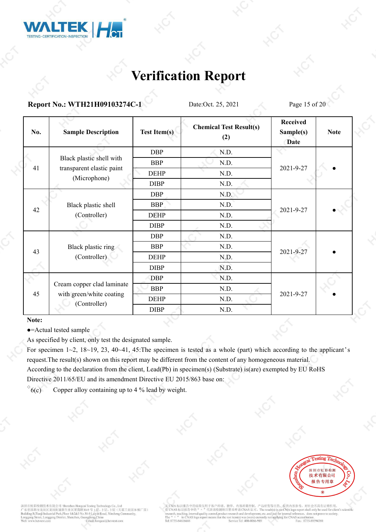

**Report No.: WTH21H09103274C-1** Date:Oct. 25, 2021 Page 15 of 20

| No. | <b>Sample Description</b>                                              | <b>Test Item(s)</b> | <b>Chemical Test Result(s)</b><br>(2) | <b>Received</b><br>Sample(s)<br><b>Date</b> | <b>Note</b> |  |
|-----|------------------------------------------------------------------------|---------------------|---------------------------------------|---------------------------------------------|-------------|--|
| 41  | Black plastic shell with<br>transparent elastic paint<br>(Microphone)  | <b>DBP</b>          | N.D.                                  |                                             |             |  |
|     |                                                                        | <b>BBP</b>          | N.D.                                  |                                             |             |  |
|     |                                                                        | <b>DEHP</b>         | N.D.                                  | 2021-9-27                                   |             |  |
|     |                                                                        | <b>DIBP</b>         | N.D.                                  |                                             |             |  |
| 42  | Black plastic shell<br>(Controller)                                    | <b>DBP</b>          | N.D.                                  |                                             |             |  |
|     |                                                                        | <b>BBP</b>          | N.D.                                  |                                             |             |  |
|     |                                                                        | <b>DEHP</b>         | N.D.                                  | 2021-9-27                                   |             |  |
|     |                                                                        | <b>DIBP</b>         | N.D.                                  |                                             |             |  |
| 43  | Black plastic ring<br>(Controller)                                     | <b>DBP</b>          | N.D.                                  |                                             |             |  |
|     |                                                                        | <b>BBP</b>          | N.D.                                  |                                             |             |  |
|     |                                                                        | <b>DEHP</b>         | N.D.                                  | 2021-9-27                                   |             |  |
|     |                                                                        | <b>DIBP</b>         | N.D.                                  |                                             |             |  |
| 45  | Cream copper clad laminate<br>with green/white coating<br>(Controller) | <b>DBP</b>          | N.D.                                  |                                             |             |  |
|     |                                                                        | <b>BBP</b>          | N.D.                                  |                                             |             |  |
|     |                                                                        | <b>DEHP</b>         | N.D.                                  | 2021-9-27                                   |             |  |
|     |                                                                        | <b>DIBP</b>         | N.D.                                  |                                             |             |  |

**Note:**

●=Actual tested sample

As specified by client, only test the designated sample.

For specimen  $1~2$ ,  $18~19$ ,  $23$ ,  $40~41$ ,  $45$ . The specimen is tested as a whole (part) which according to the applicant's request.The result(s) shown on this report may be different from the content of any homogeneous material. According to the declaration from the client, Lead(Pb) in specimen(s) (Substrate) is(are) exempted by EU RoHS Directive 2011/65/EU and its amendment Directive EU 2015/863 base on:

 $\delta$ <sup>6</sup>(c) Copper alloy containing up to 4 % lead by weight.



深圳市虹彩检测技术有限公司 Shenzhen Hong 元<br>天基工业园 B 栋厂房) 东省深圳市龙岗区龙岗街道新生社区莱茵路30-9号 B, Tianji Industrial Park, Floor 1&2&3 No.30-9 Laivin R i@hct-test.com

无 CMA 标识报告中的结果仅用 部质量控制。 产品研发等目的, 仅供内部参考, 对社会不具有证明作用。 代表该检测项目暂未申请 CNAS 认可。The result(s) in no CMA logo report shall only be used for client's scientific 有 CNAS 标识报告中的 exercise exercise in the results) in no Civita togo report shart only be used to chemicarch and development, etc. and just for internal reference, does not prove to society. arch, teaching, oductri The "  $\frac{1}{n}$  " in CN<sub>2</sub><br>Tel: 0755-84616666  $\sigma$  for CNAS a e Tel: 400-006 Fax: 0755-89594380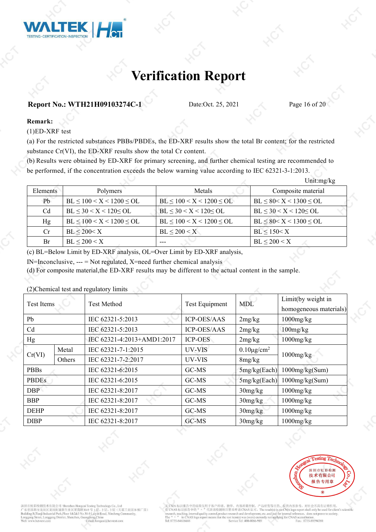

#### **Report No.: WTH21H09103274C-1** Date:Oct. 25, 2021 Page 16 of 20

#### **Remark:**

(1)ED-XRF test

(a) For the restricted substances PBBs/PBDEs, the ED-XRF results show the total Br content; for the restricted substance Cr(VI), the ED-XRF results show the total Cr content.

(b) Results were obtained by ED-XRF for primary screening, and further chemical testing are recommended to be performed, if the concentration exceeds the below warning value according to IEC 62321-3-1:2013.

|          |                                  |                                  | Unit: $mg/kg$                  |
|----------|----------------------------------|----------------------------------|--------------------------------|
| Elements | Polymers                         | Metals                           | Composite material             |
| Pb       | $BL \le 100 < X < 1200 \le OL$   | $BL \leq 100 < X < 1200 \leq OL$ | $BL \le 80 < X < 1300 \le OL$  |
| Cd       | $BL \leq 30 < X < 120 \leq OL$   | $BL \leq 30 < X < 120 < OL$      | $BL \leq 30 < X < 120 \leq OL$ |
| Hg       | $BL \leq 100 < X < 1200 \leq OL$ | $BL \le 100 < X < 1200 \le OL$   | $BL \le 80 < X < 1300 \le OL$  |
| Cr       | $BL \leq 200 \leq X$             | $BL \leq 200 \leq X$             | $BL \leq 150 < X$              |
| Br       | $BL \leq 200 \leq X$             | ---                              | $BL \leq 200 < X$              |

(c) BL=Below Limit by ED-XRF analysis, OL=Over Limit by ED-XRF analysis,

 $IN=Inconclusive, --- = Not regulated, X=need further chemical analysis$ 

(d) For composite material,the ED-XRF results may be different to the actual content in the sample.

(2)Chemical test and regulatory limits

| Test Items     |        | <b>Test Method</b>         | <b>Test Equipment</b> | <b>MDL</b>             | Limit(by weight in<br>homogeneous materials) |  |
|----------------|--------|----------------------------|-----------------------|------------------------|----------------------------------------------|--|
| Pb             |        | IEC 62321-5:2013           | <b>ICP-OES/AAS</b>    | 2mg/kg                 | $1000$ mg/ $kg$                              |  |
| C <sub>d</sub> |        | IEC 62321-5:2013           | <b>ICP-OES/AAS</b>    | 2mg/kg                 | $100$ mg/ $kg$                               |  |
| Hg             |        | IEC 62321-4:2013+AMD1:2017 | <b>ICP-OES</b>        | 2mg/kg                 | $1000$ mg/ $kg$                              |  |
| Cr(VI)         | Metal  | IEC 62321-7-1:2015         | UV-VIS                | $0.10\mu\text{g/cm}^2$ |                                              |  |
|                | Others | IEC 62321-7-2:2017         | UV-VIS                | 8mg/kg                 | $1000$ mg/ $kg$                              |  |
| <b>PBBs</b>    |        | IEC 62321-6:2015           | GC-MS                 | 5mg/kg(Each)           | $1000$ mg/ $kg(Sum)$                         |  |
| <b>PBDEs</b>   |        | IEC 62321-6:2015           | GC-MS                 | 5mg/kg(Each)           | $1000$ mg/kg(Sum)                            |  |
| DBP            |        | IEC 62321-8:2017           | GC-MS                 | 30mg/kg                | $1000$ mg/ $kg$                              |  |
| <b>BBP</b>     |        | IEC 62321-8:2017           | GC-MS                 | 30mg/kg                | $1000$ mg/ $kg$                              |  |
| <b>DEHP</b>    |        | IEC 62321-8:2017           | GC-MS                 | 30mg/kg                | $1000$ mg/ $kg$                              |  |
| <b>DIBP</b>    |        | IEC 62321-8:2017           | GC-MS                 | 30mg/kg                | $1000$ mg/ $kg$                              |  |



深圳市虹彩检测技术有限公司 Shenzhen Hon 天基工业园 B 栋厂房) 东省深圳市龙岗区龙岗街道新生社区莱茵路30-9号 B.Tianii Industrial Park Floor 1&2&3 No.30-9 Laivin R i@het\_teet.com

E CMA 标识报告中的 品研发等目的, 仅供内部参考, 对社会不具有证明作用 代表该检测项目暂未申请 CNAS 认可。The result(s) in no CMA logo report shall only be used for client's scientific CNAS 标识报告中的 arch and develop al reference, does not prove to society. achino vduet n ent, etc., and just for intern Tel: 0755-8461666 Fax: 0755-89594380 Tel: 400-006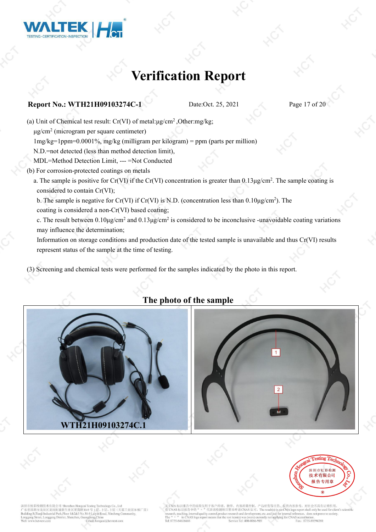

#### **Report No.: WTH21H09103274C-1** Date:Oct. 25, 2021 Page 17 of 20

(a) Unit of Chemical test result:  $Cr(VI)$  of metal: $\mu g/cm^2$ , Other:mg/kg;

μg/cm<sup>2</sup> (microgram per square centimeter)

1mg/kg=1ppm=0.0001%, mg/kg (milligram per kilogram) = ppm (parts per million)

- N.D.=not detected (less than method detection limit),
- MDL=Method Detection Limit, --- =Not Conducted
- (b) For corrosion-protected coatings on metals
	- a. The sample is positive for Cr(VI) if the Cr(VI) concentration is greater than  $0.13\mu\text{g/cm}^2$ . The sample coating is considered to contain Cr(VI);

b. The sample is negative for Cr(VI) if Cr(VI) is N.D. (concentration less than  $0.10\mu\text{g/cm}^2$ ). The coating is considered a non-Cr(VI) based coating;

c. The result between  $0.10 \mu$ g/cm<sup>2</sup> and  $0.13 \mu$ g/cm<sup>2</sup> is considered to be inconclusive -unavoidable coating variations may influence the determination;

Information on storage conditions and production date of the tested sample is unavailable and thus Cr(VI) results represent status of the sample at the time of testing.

(3) Screening and chemical tests were performed for the samples indicated by the photo in this report.



### **The photo of the sample**





市虹彩检测技术有限公司 Shenzhen Hongo 省深圳市龙岗区龙岗街道新生社区莱茵路30-9号 天基工业园 B 栋厂房) B.Tianii Industrial Park.Floor 1&2&3 No.30-9 Laivin Ro

品研发等目的, 仅供内部参考, 对社会不具有证明作用 CNAS 标识报告中的 代表该检测项目暂未申请 CNAS 认可。The result(s) in no CMA logo report shall only be us does not prove to society. earch and develop nt, etc., and just for inter Tel: 0755-8461666 Fax: 0755-89594380  $e$  Tel:  $400.006$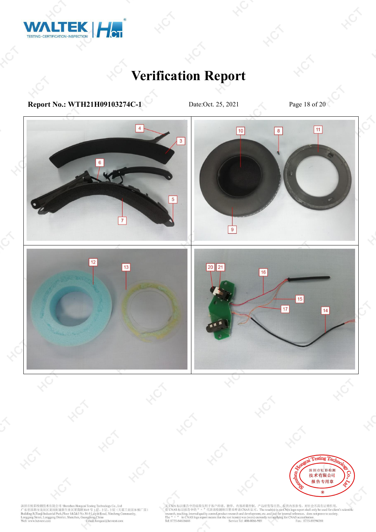

**Report No.: WTH21H09103274C-1** Date:Oct. 25, 2021 Page 18 of 20



深圳市虹彩检测技术有限公司 Shenzhen Hongcai Testing Technology Co., Ltd<br>
广东省深圳市龙岗区龙岗街道新生社区莱茵路30-9 号 1 层、2 层、3 层(天基工业园 B 栋厂房)<br>
Building B.Tranji Industrial Park,Floor 1&2&3 No.30-9 Laiyin Road, Xinsheng Community,<br>
Longgang Street, Lon

无 CMA 标识报告中的结果仅用于客户科研、教学、内部质量控制、产品研发等目的, 仅供内部参考, 对社会不具有证明作用,<br>有 CNAS 标识报告中的 " " "代表该检测项目暂未申请 CNAS 认可。The result(s) in no CMA logo report shall only be used for client's scientific<br>research, teaching internal paiding contr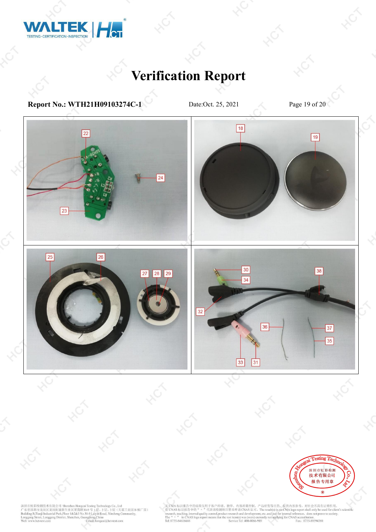

**Report No.: WTH21H09103274C-1** Date:Oct. 25, 2021 Page 19 of 20



深圳市虹彩检测技术有限公司 Shenzhen Hongcai Testing Technology Co., Ltd<br>
广东省深圳市龙岗区龙岗街道新生社区莱茵路30-9 号 1 层、2 层、3 层(天基工业园 B 栋厂房)<br>
Building B.Tranji Industrial Park,Floor 1&2&3 No.30-9 Laiyin Road, Xinsheng Community,<br>
Longgang Street, Lon

无 CMA 标识报告中的结果仅用于客户科研、教学、内部质量控制、产品研发等目的, 仅供内部参考, 对社会不具有证明作用,<br>有 CNAS 标识报告中的 " " "代表该检测项目暂未申请 CNAS 认可。The result(s) in no CMA logo report shall only be used for client's scientific<br>research, teaching internal paiding contr